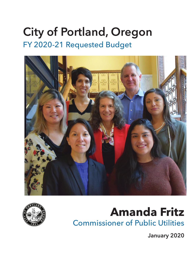# City of Portland, Oregon FY 2020-21 Requested Budget





# **Amanda Fritz** Commissioner of Public Utilities

January 2020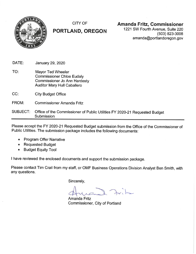

**CITY OF** 

# PORTLAND, OREGON

# **Amanda Fritz, Commissioner**

1221 SW Fourth Avenue, Suite 220  $(503)$  823-3008 amanda@portlandoregon.gov

| DATE:           | January 29, 2020                                                                                                                   |
|-----------------|------------------------------------------------------------------------------------------------------------------------------------|
| TO:             | Mayor Ted Wheeler<br><b>Commissioner Chloe Eudaly</b><br><b>Commissioner Jo Ann Hardesty</b><br><b>Auditor Mary Hull Caballero</b> |
| CC:             | <b>City Budget Office</b>                                                                                                          |
| FROM:           | <b>Commissioner Amanda Fritz</b>                                                                                                   |
| <b>SUBJECT:</b> | Office of the Commissioner of Public Utilities FY 2020-21 Requested Budget<br>Submission                                           |

Please accept the FY 2020-21 Requested Budget submission from the Office of the Commissioner of Public Utilities. The submission package includes the following documents:

- **Program Offer Narrative**  $\bullet$
- Requested Budget
- **Budget Equity Tool**  $\bullet$

I have reviewed the enclosed documents and support the submission package.

Please contact Tim Crail from my staff, or OMF Business Operations Division Analyst Ben Smith, with any questions.

Sincerely,

**Amanda Fritz** Commissioner, City of Portland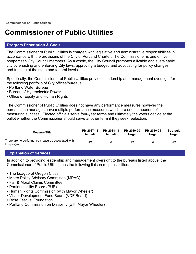# **Commissioner of Public Utilities**

#### **Program Description & Goals**

The Commissioner of Public Utilities is charged with legislative and administrative responsibilities in accordance with the provisions of the City of Portland Charter. The Commissioner is one of five nonpartisan City Council members. As a whole, the City Council promotes a livable and sustainable city by enacting and enforcing City laws, approving a budget, and advocating for policy changes and funding at the state and federal levels.

Specifically, the Commissioner of Public Utilities provides leadership and management oversight for the following portfolio of City offices/bureaus:

- Portland Water Bureau
- Bureau of Hydroelectric Power
- Office of Equity and Human Rights

The Commissioner of Public Utilities does not have any performance measures however the bureaus she manages have multiple performance measures which are one component of measuring success. Elected officials serve four-year terms and ultimately the voters decide at the ballot whether the Commissioner should serve another term if they seek reelection.

| <b>Measure Title</b>                                              | PM 2017-18     | PM 2018-19     | PM 2019-20 | PM 2020-21 | <b>Strategic</b> |
|-------------------------------------------------------------------|----------------|----------------|------------|------------|------------------|
|                                                                   | <b>Actuals</b> | <b>Actuals</b> | Target     | Tarɑet     | <b>Target</b>    |
| There are no performance measures associated with<br>this program | N/A            |                | N/A        |            | N/A              |

#### **Explanation of Services**

In addition to providing leadership and management oversight to the bureaus listed above, the Commissioner of Public Utilities has the following liaison responsibilities:

- The League of Oregon Cities
- Metro Policy Advisory Committee (MPAC)
- Fair & Moral Claims Committee
- Portland Utility Board (PUB)
- Human Rights Commission (with Mayor Wheeler)
- Visitor Development Fund Board (VDF Board)
- Rose Festival Foundation
- Portland Commission on Disability (with Mayor Wheeler)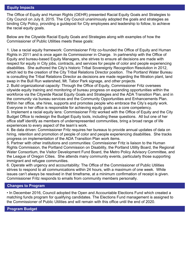The Office of Equity and Human Rights (OEHR) presented Racial Equity Goals and Strategies to City Council on July 8, 2015. The City Council unanimously adopted the goals and strategies as binding City Policy, providing a guidepost for City employees and leadership to follow, to achieve the racial equity goals.

Below are the Citywide Racial Equity Goals and Strategies along with examples of how the Commissioner of Public Utilities meets these goals:

1. Use a racial equity framework: Commissioner Fritz co-founded the Office of Equity and Human Rights in 2011 and is once again its Commissioner in Charge. In partnership with the Office of Equity and bureau-based Equity Managers, she strives to ensure all decisions are made with respect for equity in City jobs, contracts, and services for people of color and people experiencing disabilities. She authored the City's historic Tribal Sovereignty Recognition Resolution in 2012, which led to the creation of the City Tribal Relations Director position. The Portland Water Bureau is consulting the Tribal Relations Director as decisions are made regarding the filtration plant, land swap in the Bull Run watershed, Mt. Tabor Park signage, and other projects.

2. Build organizational capacity: Through the Office of Equity, Commissioner Fritz oversees citywide equity training and monitoring of bureau progress on expanding opportunities within the workforce via the Citywide Racial Equity Goals and Strategies and the ADA Transition Plan, and in the community via bureau services and the Community Opportunities and Enhancements Plan. Within her office, she hires, supports and promotes people who embrace the City's equity work. Everyone in her office is responsible for achieving equity goals as a core competency.

3. Implement a racial equity lens: Commissioner Fritz worked with the Office of Equity and the City Budget Office to redesign the Budget Equity tools, including these questions. All but one of her office staff identify as members of underrepresented communities, bring a broad range of life experiences to every aspect of the team's work.

4. Be data driven: Commissioner Fritz requires her bureaus to provide annual updates of data on hiring, retention and promotion of people of color and people experiencing disabilities. She tracks progress on implementation of the ADA Transition Plan work items.

5. Partner with other institutions and communities: Commissioner Fritz is liaison to the Human Rights Commission, the Portland Commission on Disability, the Portland Utility Board, the Regional Water Consortium, the Visitor Development Fund Board, the Metro Policy Advisory Committee, and the League of Oregon Cities. She attends many community events, particularly those supporting immigrant and refugee communities.

6. Operate with urgency and accountability: The Office of the Commissioner of Public Utilities strives to respond to all communications within 24 hours, with a maximum of one week. While issues can't always be resolved in that timeframe, at a minimum confirmation of receipt is given. Commissioner Fritz responds to emails from community members personally.

#### **Changes to Program**

• In December 2016, Council adopted the Open and Accountable Elections Fund which created a matching funds program for qualifying candidates. The Elections Fund management is assigned to the Commissioner of Public Utilities and will remain with this office until the end of 2020.

#### **Program Budget**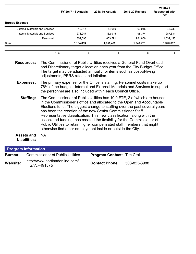|                                        | <b>FY 2017-18 Actuals</b> | <b>2018-19 Actuals</b> | <b>2019-20 Revised</b> | 2020-21<br><b>Requested with</b><br><b>DP</b> |
|----------------------------------------|---------------------------|------------------------|------------------------|-----------------------------------------------|
| <b>Bureau Expense</b>                  |                           |                        |                        |                                               |
| <b>External Materials and Services</b> | 10,814                    | 14,980                 | 69,045                 | 43,730                                        |
| Internal Materials and Services        | 271,947                   | 182,915                | 198,374                | 287,634                                       |
| Personnel                              | 852,093                   | 853,591                | 981,856                | 1,039,453                                     |
| Sum:                                   | 1,134,853                 | 1,051,485              | 1,249,275              | 1,370,817                                     |
|                                        | FTE<br>8                  | 8                      | 8                      | 8                                             |

- **Resources:** The Commissioner of Public Utilities receives a General Fund Overhead and Discretionary target allocation each year from the City Budget Office. The target may be adjusted annually for items such as cost-of-living adjustments, PERS rates, and inflation.
- **Expenses:** The primary expense for the Office is staffing. Personnel costs make up 76% of the budget. Internal and External Materials and Services to support the personnel are also included within each Council Office.
	- **Staffing:** The Commissioner of Public Utilities has 10.0 FTE, 2 of which are housed in the Commissioner's office and allocated to the Open and Accountable Elections fund. The biggest change to staffing over the past several years has been the creation of the new Senior Commissioner Staff Representative classification. This new classification, along with the associated funding, has created the flexibility for the Commissioner of Public Utilities to retain higher compensated staff members that might otherwise find other employment inside or outside the City.

**Assets and Liabilities:** NA

| <b>Program Information</b> |                                                      |                                   |              |  |  |  |  |
|----------------------------|------------------------------------------------------|-----------------------------------|--------------|--|--|--|--|
| Bureau:                    | <b>Commissioner of Public Utilities</b>              | <b>Program Contact: Tim Crail</b> |              |  |  |  |  |
| Website:                   | http://www.portlandonline.com/<br>fritz/?c=49157 $8$ | <b>Contact Phone</b>              | 503-823-3988 |  |  |  |  |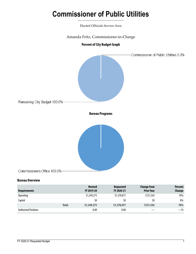# **Commissioner of Public Utilities**

Elected Officials Service Area

Amanda Fritz, Commissioner-in-Charge



#### **Bureau Overview**

| Requirements                | <b>Revised</b><br>FY 2019-20 | <b>Requested</b><br>FY 2020-21 | <b>Change from</b><br><b>Prior Year</b> | <b>Percent</b><br>Change |
|-----------------------------|------------------------------|--------------------------------|-----------------------------------------|--------------------------|
| <b>Operating</b>            | \$1,249,275                  | \$1,370,817                    | \$121,542                               | 10%                      |
| Capital                     | \$0                          | \$0                            | \$0                                     | 0%                       |
| <b>Total</b>                | \$1,249,275                  | \$1,370,817                    | \$121,542                               | 10%                      |
| <b>Authorized Positions</b> | 8.00                         | 8.00                           |                                         | $-$ %                    |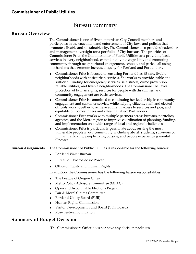# Bureau Summary

#### **Bureau Overview**

The Commissioner is one of five nonpartisan City Council members and participates in the enactment and enforcement of City laws and policies that promote a livable and sustainable city. The Commissioner also provides leadership and management oversight for a portfolio of City bureaus. The priorities of Commissioner Fritz, the Commissioner of Public Utilities are: providing basic services in every neighborhood, expanding living-wage jobs, and promoting community through neighborhood engagement, schools, and parks - all using mechanisms that promote increased equity for Portland and Portlanders.

- Commissioner Fritz is focused on ensuring Portland has 95 safe, livable neighborhoods with basic urban services. She works to provide stable and sufficient funding for emergency services, safe streets, crime prevention, reliable utilities, and livable neighborhoods. The Commissioner believes protection of human rights, services for people with disabilities, and community engagement are basic services.
- Commissioner Fritz is committed to continuing her leadership in community engagement and customer service, while helping citizens, staff, and elected officials work together to achieve equity in access to services and jobs, and equitable outcomes in fees and rates that affect Portlanders.
- Commissioner Fritz works with multiple partners across bureaus, portfolios, agencies, and the Metro region to improve coordination of planning, funding, and implementation on a wide range of local and regional challenges.
- Commissioner Fritz is particularly passionate about serving the most vulnerable people in our community, including at-risk students, survivors of human trafficking, people living outside, and people experiencing mental illnesses.

#### **Bureau Assignments** The Commissioner of Public Utilities is responsible for the following bureau:

- Portland Water Bureau
- Bureau of Hydroelectric Power
- Office of Equity and Human Rights

In addition, the Commissioner has the following liaison responsibilities:

- The League of Oregon Cities
- Metro Policy Advisory Committee (MPAC)
- Open and Accountable Elections Program
- Fair & Moral Claims Committee
- ◆ Portland Utility Board (PUB)
- Human Rights Commission
- Visitor Development Fund Board (VDF Board)
- Rose Festival Foundation

#### **Summary of Budget Decisions**

The Commissioners Office does not have any decision packages.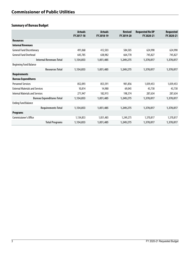# **Summary of Bureau Budget**

|                                        | <b>Actuals</b><br>FY 2017-18 | <b>Actuals</b><br>FY 2018-19 | <b>Revised</b><br>FY 2019-20 | <b>Requested No DP</b><br>FY 2020-21 | <b>Requested</b><br>FY 2020-21 |
|----------------------------------------|------------------------------|------------------------------|------------------------------|--------------------------------------|--------------------------------|
| <b>Resources</b>                       |                              |                              |                              |                                      |                                |
| <b>Internal Revenues</b>               |                              |                              |                              |                                      |                                |
| <b>General Fund Discretionary</b>      | 491,068                      | 412,503                      | 584,505                      | 624,990                              | 624,990                        |
| <b>General Fund Overhead</b>           | 643,785                      | 638,982                      | 664,770                      | 745,827                              | 745,827                        |
| <b>Internal Revenues Total</b>         | 1,134,853                    | 1,051,485                    | 1,249,275                    | 1,370,817                            | 1,370,817                      |
| <b>Beginning Fund Balance</b>          |                              |                              |                              |                                      |                                |
| <b>Resources Total</b>                 | 1,134,853                    | 1,051,485                    | 1,249,275                    | 1,370,817                            | 1,370,817                      |
| <b>Requirements</b>                    |                              |                              |                              |                                      |                                |
| <b>Bureau Expenditures</b>             |                              |                              |                              |                                      |                                |
| <b>Personnel Services</b>              | 852,093                      | 853,591                      | 981,856                      | 1,039,453                            | 1,039,453                      |
| <b>External Materials and Services</b> | 10,814                       | 14,980                       | 69,045                       | 43,730                               | 43,730                         |
| <b>Internal Materials and Services</b> | 271,947                      | 182,915                      | 198,374                      | 287,634                              | 287,634                        |
| <b>Bureau Expenditures Total</b>       | 1,134,853                    | 1,051,485                    | 1,249,275                    | 1,370,817                            | 1,370,817                      |
| <b>Ending Fund Balance</b>             |                              |                              |                              |                                      |                                |
| <b>Requirements Total</b>              | 1,134,853                    | 1,051,485                    | 1,249,275                    | 1,370,817                            | 1,370,817                      |
| <b>Programs</b>                        |                              |                              |                              |                                      |                                |
| Commissioner's Office                  | 1,134,853                    | 1,051,485                    | 1,249,275                    | 1,370,817                            | 1,370,817                      |
| <b>Total Programs</b>                  | 1,134,853                    | 1,051,485                    | 1,249,275                    | 1,370,817                            | 1,370,817                      |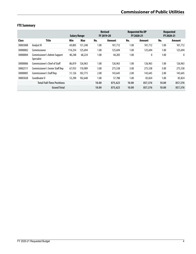# **FTE Summary**

|              |                                                   | <b>Salary Range</b> |         |       | <b>Revised</b><br>FY 2019-20 |       | <b>Requested No DP</b><br>FY 2020-21 |       | <b>Requested</b><br>FY 2020-21 |
|--------------|---------------------------------------------------|---------------------|---------|-------|------------------------------|-------|--------------------------------------|-------|--------------------------------|
| <b>Class</b> | Title                                             | Min                 | Max     | No.   | Amount                       | No.   | Amount                               | No.   | Amount                         |
| 30003008     | Analyst III                                       | 69,805              | 131,248 | 1.00  | 101,712                      | 1.00  | 101.712                              | 1.00  | 101,712                        |
| 30000002     | Commissioner                                      | 114,254             | 125.694 | 1.00  | 125,694                      | 1.00  | 125.694                              | 1.00  | 125,694                        |
| 30000004     | Commissioner's Admin Support<br><b>Specialist</b> | 40,248              | 68,224  | 1.00  | 44,283                       | 1.00  | 0                                    | 1.00  | $\mathbf{0}$                   |
| 30000006     | Commissioner's Chief of Staff                     | 86,819              | 126,963 | 1.00  | 126,963                      | 1.00  | 126,963                              | 1.00  | 126,963                        |
| 30002511     | Commissioner's Senior Staff Rep                   | 67,933              | 110.989 | 3.00  | 275,538                      | 3.00  | 275,538                              | 3.00  | 275,538                        |
| 30000005     | <b>Commissioner's Staff Rep</b>                   | 51,126              | 102.773 | 2.00  | 143,645                      | 2.00  | 143,645                              | 2.00  | 143,645                        |
| 30003028     | Coordinator II                                    | 53,290              | 102,648 | 1.00  | 57,788                       | 1.00  | 83,824                               | 1.00  | 83,824                         |
|              | <b>Total Full-Time Positions</b>                  |                     |         | 10.00 | 875,623                      | 10.00 | 857,376                              | 10.00 | 857,376                        |
|              | <b>Grand Total</b>                                |                     |         | 10.00 | 875,623                      | 10.00 | 857,376                              | 10.00 | 857,376                        |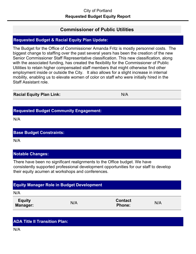# **Commissioner of Public Utilities**

# **Requested Budget & Racial Equity Plan Update:**

The Budget for the Office of Commissioner Amanda Fritz is mostly personnel costs. The biggest change to staffing over the past several years has been the creation of the new Senior Commissioner Staff Representative classification. This new classification, along with the associated funding, has created the flexibility for the Commissioner of Public Utilities to retain higher compensated staff members that might otherwise find other employment inside or outside the City. It also allows for a slight increase in internal mobility, enabling us to elevate women of color on staff who were initially hired in the Staff Assistant role.

**Racial Equity Plan Link:** N/A

# **Requested Budget Community Engagement:**

N/A

#### **Base Budget Constraints:**

N/A

#### **Notable Changes:**

There have been no significant realignments to the Office budget. We have consistently supported professional development opportunities for our staff to develop their equity acumen at workshops and conferences.

# **Equity Manager:** N/A **Contact Phone:** N/A **Equity Manager Role in Budget Development** N/A

# **ADA Title II Transition Plan:**